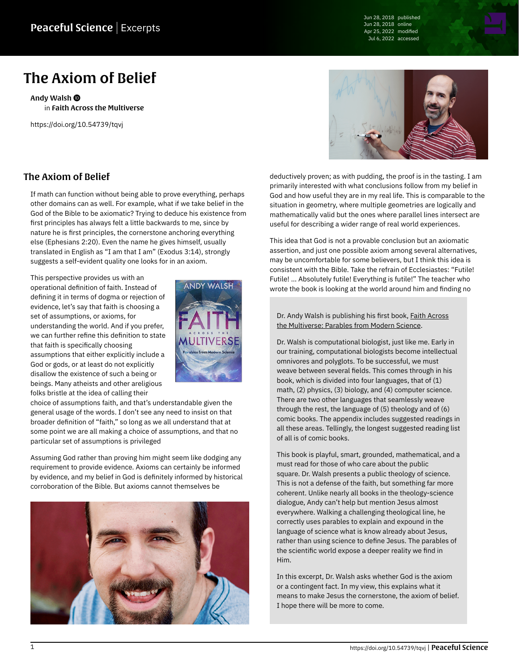Jun 28, 2018 published Jun 28, 2018 online Apr 25, 2022 modified Jul 6, 2022 accessed

## The Axiom of Belief

[Andy Walsh](https://peacefulscience.org/authors/awalsh/) in [Faith Across the Multiverse](https://peacefulscience.org/books/faith-across-multiverse/)

<https://doi.org/10.54739/tqvj>



## The Axiom of Belief

If math can function without being able to prove everything, perhaps other domains can as well. For example, what if we take belief in the God of the Bible to be axiomatic? Trying to deduce his existence from first principles has always felt a little backwards to me, since by nature he is first principles, the cornerstone anchoring everything else (Ephesians 2:20). Even the name he gives himself, usually translated in English as "I am that I am" (Exodus 3:14), strongly suggests a self-evident quality one looks for in an axiom.

This perspective provides us with an operational definition of faith. Instead of defining it in terms of dogma or rejection of evidence, let's say that faith is choosing a set of assumptions, or axioms, for understanding the world. And if you prefer, we can further refine this definition to state that faith is specifically choosing assumptions that either explicitly include a God or gods, or at least do not explicitly disallow the existence of such a being or beings. Many atheists and other areligious folks bristle at the idea of calling their



choice of assumptions faith, and that's understandable given the general usage of the words. I don't see any need to insist on that broader definition of "faith," so long as we all understand that at some point we are all making a choice of assumptions, and that no particular set of assumptions is privileged

Assuming God rather than proving him might seem like dodging any requirement to provide evidence. Axioms can certainly be informed by evidence, and my belief in God is definitely informed by historical corroboration of the Bible. But axioms cannot themselves be



deductively proven; as with pudding, the proof is in the tasting. I am primarily interested with what conclusions follow from my belief in God and how useful they are in my real life. This is comparable to the situation in geometry, where multiple geometries are logically and mathematically valid but the ones where parallel lines intersect are useful for describing a wider range of real world experiences.

This idea that God is not a provable conclusion but an axiomatic assertion, and just one possible axiom among several alternatives, may be uncomfortable for some believers, but I think this idea is consistent with the Bible. Take the refrain of Ecclesiastes: "Futile! Futile! … Absolutely futile! Everything is futile!" The teacher who wrote the book is looking at the world around him and finding no

## Dr. Andy Walsh is publishing his first book, [Faith Across](https://peacefulscience.org/books/faith-across-multiverse/) [the Multiverse: Parables from Modern Science.](https://peacefulscience.org/books/faith-across-multiverse/)

Dr. Walsh is computational biologist, just like me. Early in our training, computational biologists become intellectual omnivores and polyglots. To be successful, we must weave between several fields. This comes through in his book, which is divided into four languages, that of (1) math, (2) physics, (3) biology, and (4) computer science. There are two other languages that seamlessly weave through the rest, the language of (5) theology and of (6) comic books. The appendix includes suggested readings in all these areas. Tellingly, the longest suggested reading list of all is of comic books.

This book is playful, smart, grounded, mathematical, and a must read for those of who care about the public square. Dr. Walsh presents a public theology of science. This is not a defense of the faith, but something far more coherent. Unlike nearly all books in the theology-science dialogue, Andy can't help but mention Jesus almost everywhere. Walking a challenging theological line, he correctly uses parables to explain and expound in the language of science what is know already about Jesus, rather than using science to define Jesus. The parables of the scientific world expose a deeper reality we find in Him.

In this excerpt, Dr. Walsh asks whether God is the axiom or a contingent fact. In my view, this explains what it means to make Jesus the cornerstone, the axiom of belief. I hope there will be more to come.